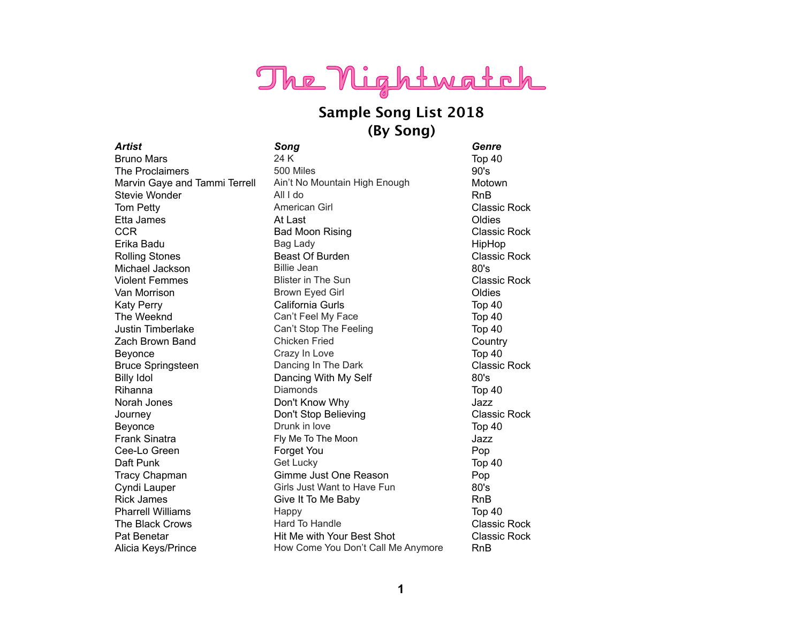# The Nightwatch

### **Sample Song List 2018 (By Song)**

*Artist Song Genre* Bruno Mars 24 K Top 40 The Proclaimers 500 Miles 600 Miles 90's Marvin Gaye and Tammi Terrell Ain't No Mountain High Enough Motown Stevie Wonder **All I do** RnB Tom Petty **American Girl Classic Rock** Classic Rock Etta James and At Last Coldies and At Last Coldies and At Last Coldies and At Last Coldies **CCR** Bad Moon Rising **CLASSIC Rock CLASSIC ROCK** Erika Badu Bag Lady Bag Lady Bag Lady Bag Lady Bag Lady Bag Bag Lady Bag Bag Bad Bag Bag Bag Bag Bag Bag Bag B Rolling Stones **Beast Of Burden** Classic Rock **Classic Rock** Michael Jackson Billie Jean 80's Violent Femmes **Blister in The Sun** Classic Rock Van Morrison **Brown Eyed Girl Communist Communist Communist** Communist Communist Communist Communist Communist Co Katy Perry **California Gurls** California Gurls Top 40 The Weeknd Can't Feel My Face Top 40 Justin Timberlake Can't Stop The Feeling Top 40 Zach Brown Band Chicken Fried Country Beyonce **Crazy In Love** Crazy In Love **Top 40** Bruce Springsteen **Dancing In The Dark** Classic Rock Billy Idol **Dancing With My Self** 80's Rihanna Diamonds Top 40 Norah Jones Don't Know Why Jazz Journey Don't Stop Believing Classic Rock Beyonce **Drunk in love Drunk** in love **Top 40** Frank Sinatra **Fixall Community Me To The Moon** Frank Sinatra Lazz **Cee-Lo Green Community Community Cee-Lo Green Community Community Cee-Lo Green Community Community Community C** Daft Punk Get Lucky Get Lucky Top 40 Tracy Chapman Gimme Just One Reason Pop Cyndi Lauper Girls Just Want to Have Fun 80's Rick James **Give It To Me Baby** RnB Pharrell Williams **Happy** Happy Top 40 The Black Crows **Hard To Handle** Classic Rock Pat Benetar **Hit Me with Your Best Shot** Classic Rock Alicia Keys/Prince **How Come You Don't Call Me Anymore** RnB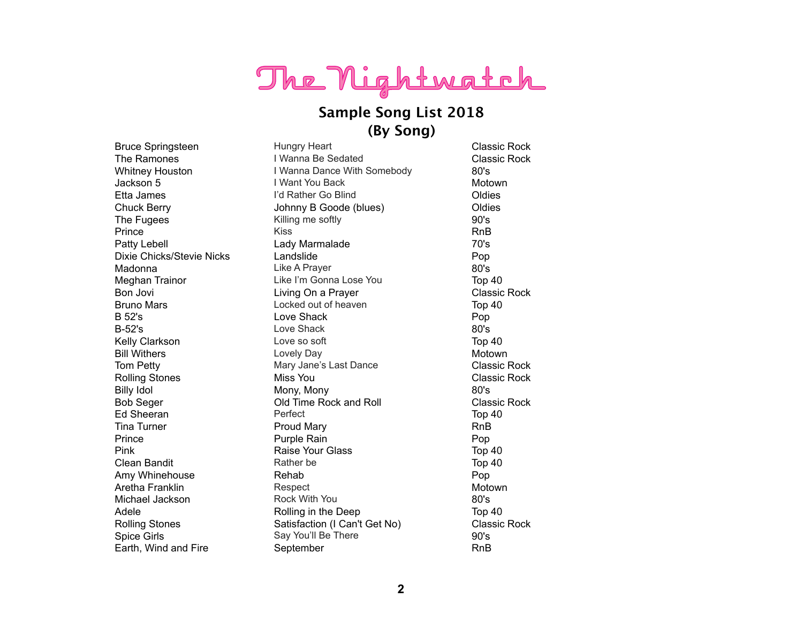# The Nightwatch

### **Sample Song List 2018 (By Song)**

Bruce Springsteen **Hungry Heart** Classic Rock The Ramones I Wanna Be Sedated Classic Rock Whitney Houston **I** Wanna Dance With Somebody 80's Jackson 5 I Want You Back Motown Etta James **I'd Rather Go Blind** Coldies **I'd Rather Go Blind** Chuck Berry Johnny B Goode (blues) Oldies The Fugees **Example 20's** Killing me softly **Killing the Solution Contract Contract Contract Contract Contract Contract Contract Contract Contract Contract Contract Contract Contract Contract Contract Contract Contract Con** Prince **Rights** Robert Kiss **Rights** Robert Rights Rights Rights Rights Rights Rights Patty Lebell **Lady Marmalade Patty Lebell** 70's Dixie Chicks/Stevie Nicks Landslide Pop Madonna **Mathematic Contract Contract Contract Contract Contract Contract Contract Contract Contract Contract Contract Contract Contract Contract Contract Contract Contract Contract Contract Contract Contract Contract Cont** Meghan Trainor **Like I'm Gonna Lose You** Top 40 Bon Jovi **Example 2** Living On a Prayer **Classic Rock** Classic Rock Bruno Mars **Example 20** Locked out of heaven Top 40 B 52's **Example 3** Love Shack **Pop** B-52's Boys Love Shack 80's Kelly Clarkson **Love so soft** Clarkson **Top 40** Bill Withers **Example 2018** Lovely Day **Motown** Motown Tom Petty **Mary Jane's Last Dance** Classic Rock Rolling Stones **Miss You Classic Rock Classic Rock** Billy Idol **80's** Mony, Mony Mony 80's Bob Seger Old Time Rock and Roll Classic Rock Ed Sheeran **Perfect** Perfect **Top 40** Tina Turner **Rights** Proud Mary **Rights** RnB Prince **Purple Rain** Pop **Purple Rain** Pop **Prince** Pink **Raise Your Glass** Top 40 Clean Bandit **Rather be Top 40** Clean Bandit Amy Whinehouse **Rehab Pop Pop** Aretha Franklin **Respect** Respect **Motown** Motown Michael Jackson **Rock With You 80's** Rock With You Adele **Rolling in the Deep** Top 40 Rolling Stones **Satisfaction (I Can't Get No)** Classic Rock Spice Girls Say You'll Be There **1998** Say You'll Be There **1998** Solve Solve Solve Solve Solve Solve Solve Solve Solve Solve Solve Solve Solve Solve Solve Solve Solve Solve Solve Solve Solve Solve Solve Solve Solve Solve Earth, Wind and Fire **September** September **RnB**